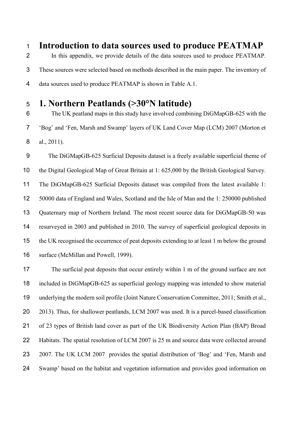**Introduction to data sources used to produce PEATMAP** In this appendix, we provide details of the data sources used to produce PEATMAP. These sources were selected based on methods described in the main paper. The inventory of data sources used to produce PEATMAP is shown in Table A.1.

## **1. Northern Peatlands (>30°N latitude)**

 The UK peatland maps in this study have involved combining DiGMapGB-625 with the 'Bog' and 'Fen, Marsh and Swamp' layers of UK Land Cover Map (LCM) 2007 (Morton et al., 2011).

 The DiGMapGB-625 Surficial Deposits dataset is a freely available superficial theme of the Digital Geological Map of Great Britain at 1: 625,000 by the British Geological Survey. The DiGMapGB-625 Surficial Deposits dataset was compiled from the latest available 1: 50000 data of England and Wales, Scotland and the Isle of Man and the 1: 250000 published Quaternary map of Northern Ireland. The most recent source data for DiGMapGB-50 was resurveyed in 2003 and published in 2010. The survey of superficial geological deposits in the UK recognised the occurrence of peat deposits extending to at least 1 m below the ground 16 surface (McMillan and Powell, 1999).

 The surficial peat deposits that occur entirely within 1 m of the ground surface are not included in DiGMapGB-625 as superficial geology mapping was intended to show material underlying the modern soil profile (Joint Nature Conservation Committee, 2011; Smith et al., 20 2013). Thus, for shallower peatlands, LCM 2007 was used. It is a parcel-based classification of 23 types of British land cover as part of the UK Biodiversity Action Plan (BAP) Broad Habitats. The spatial resolution of LCM 2007 is 25 m and source data were collected around 2007. The UK LCM 2007 provides the spatial distribution of 'Bog' and 'Fen, Marsh and Swamp' based on the habitat and vegetation information and provides good information on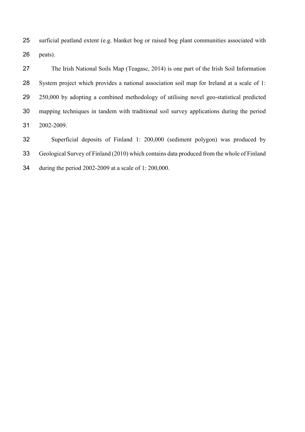surficial peatland extent (e.g. blanket bog or raised bog plant communities associated with peats).

 The Irish National Soils Map (Teagasc, 2014) is one part of the Irish Soil Information System project which provides a national association soil map for Ireland at a scale of 1: 250,000 by adopting a combined methodology of utilising novel geo-statistical predicted mapping techniques in tandem with traditional soil survey applications during the period 2002-2009.

 Superficial deposits of Finland 1: 200,000 (sediment polygon) was produced by Geological Survey of Finland (2010) which contains data produced from the whole of Finland during the period 2002-2009 at a scale of 1: 200,000.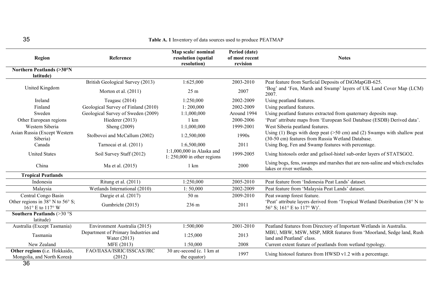| ပဎ                                                                     |                                                      | <b>Table A. I</b> Inventory of data sources used to produce PEATMAP |                                             |                                                                                                                                 |
|------------------------------------------------------------------------|------------------------------------------------------|---------------------------------------------------------------------|---------------------------------------------|---------------------------------------------------------------------------------------------------------------------------------|
| <b>Region</b>                                                          | Reference                                            | Map scale/nominal<br>resolution (spatial<br>resolution)             | Period (date)<br>of most recent<br>revision | <b>Notes</b>                                                                                                                    |
| Northern Peatlands (>30°N<br>latitude)                                 |                                                      |                                                                     |                                             |                                                                                                                                 |
| United Kingdom                                                         | British Geological Survey (2013)                     | 1:625,000                                                           | 2003-2010                                   | Peat feature from Surficial Deposits of DiGMapGB-625.                                                                           |
|                                                                        | Morton et al. $(2011)$                               | $25 \text{ m}$                                                      | 2007                                        | 'Bog' and 'Fen, Marsh and Swamp' layers of UK Land Cover Map (LCM)<br>2007.                                                     |
| Ireland                                                                | Teagasc (2014)                                       | 1:250,000                                                           | 2002-2009                                   | Using peatland features.                                                                                                        |
| Finland                                                                | Geological Survey of Finland (2010)                  | 1:200,000                                                           | 2002-2009                                   | Using peatland features.                                                                                                        |
| Sweden                                                                 | Geological Survey of Sweden (2009)                   | 1:1,000,000                                                         | Around 1994                                 | Using peatland features extracted from quaternary deposits map.                                                                 |
| Other European regions                                                 | Hiederer $(2013)$                                    | 1 km                                                                | 2000-2006                                   | 'Peat' attribute maps from 'European Soil Database (ESDB) Derived data'.                                                        |
| Western Siberia                                                        | Sheng (2009)                                         | 1:1,000,000                                                         | 1999-2001                                   | West Siberia peatland features.                                                                                                 |
| Asian Russia (Except Western<br>Siberia)                               | Stolbovoi and McCallum (2002)                        | 1:2,500,000                                                         | 1990s                                       | Using (1) Bogs with deep peat ( $>50$ cm) and (2) Swamps with shallow peat<br>(30-50 cm) features from Russia Wetland Database. |
| Canada                                                                 | Tarnocai et al. (2011)                               | 1:6,500,000                                                         | 2011                                        | Using Bog, Fen and Swamp features with percentage.                                                                              |
| <b>United States</b>                                                   | Soil Survey Staff (2012)                             | $1:1,000,000$ in Alaska and<br>$1:250,000$ in other regions         | 1999-2005                                   | Using histosols order and gelisol-histel sub-order layers of STATSGO2.                                                          |
| China                                                                  | Ma et al. (2015)                                     | 1 km                                                                | 2000                                        | Using bogs, fens, swamps and marshes that are non-saline and which excludes<br>lakes or river wetlands.                         |
| <b>Tropical Peatlands</b>                                              |                                                      |                                                                     |                                             |                                                                                                                                 |
| Indonesia                                                              | Ritung et al. (2011)                                 | 1:250,000                                                           | 2005-2010                                   | Peat feature from 'Indonesia Peat Lands' dataset.                                                                               |
| Malaysia                                                               | Wetlands International (2010)                        | 1:50,000                                                            | 2002-2009                                   | Peat feature from 'Malaysia Peat Lands' dataset.                                                                                |
| Central Congo Basin                                                    | Dargie et al. (2017)                                 | 50 m                                                                | 2009-2010                                   | Peat swamp forest feature.                                                                                                      |
| Other regions in $38^{\circ}$ N to $56^{\circ}$ S;<br>161° E to 117° W | Gumbricht (2015)                                     | 236 m                                                               | 2011                                        | 'Peat' attribute layers derived from 'Tropical Wetland Distribution (38° N to<br>56° S; 161° E to 117° W)'.                     |
| Southern Peatlands $(>30°S)$<br>latitude)                              |                                                      |                                                                     |                                             |                                                                                                                                 |
| Australia (Except Tasmania)                                            | Environment Australia (2015)                         | 1:500,000                                                           | 2001-2010                                   | Peatland features from Directory of Important Wetlands in Australia.                                                            |
| Tasmania                                                               | Department of Primary Industries and<br>Water (2013) | 1:25,000                                                            | 2013                                        | MBU, MBW, MSW, MSP, MRR features from 'Moorland, Sedge land, Rush<br>land and Peatland' class.                                  |
| New Zealand                                                            | MFE (2013)                                           | 1:50,000                                                            | 2008                                        | Current extent feature of peatlands from wetland typology.                                                                      |
| Other regions (i.e. Hokkaido,<br>Mongolia, and North Korea)            | FAO/IIASA/ISRIC/ISSCAS/JRC<br>(2012)                 | 30 arc-second (c. 1 km at<br>the equator)                           | 1997                                        | Using histosol features from HWSD v1.2 with a percentage.                                                                       |
| n c                                                                    |                                                      |                                                                     |                                             |                                                                                                                                 |

#### 35 **Table A. 1** Inventory of data sources used to produce PEATMAP

36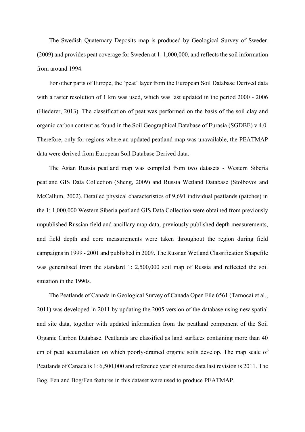The Swedish Quaternary Deposits map is produced by Geological Survey of Sweden (2009) and provides peat coverage for Sweden at 1: 1,000,000, and reflects the soil information from around 1994.

For other parts of Europe, the 'peat' layer from the European Soil Database Derived data with a raster resolution of 1 km was used, which was last updated in the period 2000 - 2006 (Hiederer, 2013). The classification of peat was performed on the basis of the soil clay and organic carbon content as found in the Soil Geographical Database of Eurasia (SGDBE) v 4.0. Therefore, only for regions where an updated peatland map was unavailable, the PEATMAP data were derived from European Soil Database Derived data.

The Asian Russia peatland map was compiled from two datasets - Western Siberia peatland GIS Data Collection (Sheng, 2009) and Russia Wetland Database (Stolbovoi and McCallum, 2002). Detailed physical characteristics of 9,691 individual peatlands (patches) in the 1: 1,000,000 Western Siberia peatland GIS Data Collection were obtained from previously unpublished Russian field and ancillary map data, previously published depth measurements, and field depth and core measurements were taken throughout the region during field campaigns in 1999 - 2001 and published in 2009. The Russian Wetland Classification Shapefile was generalised from the standard 1: 2,500,000 soil map of Russia and reflected the soil situation in the 1990s.

The Peatlands of Canada in Geological Survey of Canada Open File 6561 (Tarnocai et al., 2011) was developed in 2011 by updating the 2005 version of the database using new spatial and site data, together with updated information from the peatland component of the Soil Organic Carbon Database. Peatlands are classified as land surfaces containing more than 40 cm of peat accumulation on which poorly-drained organic soils develop. The map scale of Peatlands of Canada is 1: 6,500,000 and reference year of source data last revision is 2011. The Bog, Fen and Bog/Fen features in this dataset were used to produce PEATMAP.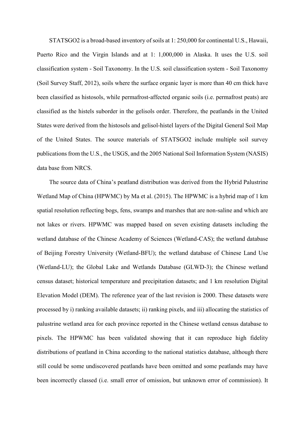STATSGO2 is a broad-based inventory of soils at 1: 250,000 for continental U.S., Hawaii, Puerto Rico and the Virgin Islands and at 1: 1,000,000 in Alaska. It uses the U.S. soil classification system - Soil Taxonomy. In the U.S. soil classification system - Soil Taxonomy (Soil Survey Staff, 2012), soils where the surface organic layer is more than 40 cm thick have been classified as histosols, while permafrost-affected organic soils (i.e. permafrost peats) are classified as the histels suborder in the gelisols order. Therefore, the peatlands in the United States were derived from the histosols and gelisol-histel layers of the Digital General Soil Map of the United States. The source materials of STATSGO2 include multiple soil survey publications from the U.S., the USGS, and the 2005 National Soil Information System (NASIS) data base from NRCS.

The source data of China's peatland distribution was derived from the Hybrid Palustrine Wetland Map of China (HPWMC) by Ma et al. (2015). The HPWMC is a hybrid map of 1 km spatial resolution reflecting bogs, fens, swamps and marshes that are non-saline and which are not lakes or rivers. HPWMC was mapped based on seven existing datasets including the wetland database of the Chinese Academy of Sciences (Wetland-CAS); the wetland database of Beijing Forestry University (Wetland-BFU); the wetland database of Chinese Land Use (Wetland-LU); the Global Lake and Wetlands Database (GLWD-3); the Chinese wetland census dataset; historical temperature and precipitation datasets; and 1 km resolution Digital Elevation Model (DEM). The reference year of the last revision is 2000. These datasets were processed by i) ranking available datasets; ii) ranking pixels, and iii) allocating the statistics of palustrine wetland area for each province reported in the Chinese wetland census database to pixels. The HPWMC has been validated showing that it can reproduce high fidelity distributions of peatland in China according to the national statistics database, although there still could be some undiscovered peatlands have been omitted and some peatlands may have been incorrectly classed (i.e. small error of omission, but unknown error of commission). It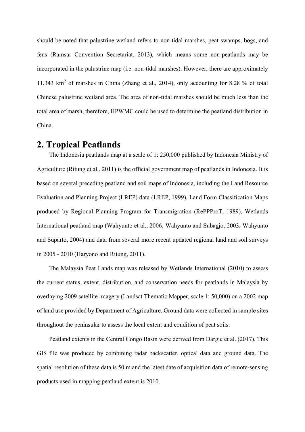should be noted that palustrine wetland refers to non-tidal marshes, peat swamps, bogs, and fens (Ramsar Convention Secretariat, 2013), which means some non-peatlands may be incorporated in the palustrine map (i.e. non-tidal marshes). However, there are approximately 11,343 km<sup>2</sup> of marshes in China (Zhang et al., 2014), only accounting for 8.28 % of total Chinese palustrine wetland area. The area of non-tidal marshes should be much less than the total area of marsh, therefore, HPWMC could be used to determine the peatland distribution in China.

#### **2. Tropical Peatlands**

The Indonesia peatlands map at a scale of 1: 250,000 published by Indonesia Ministry of Agriculture (Ritung et al., 2011) is the official government map of peatlands in Indonesia. It is based on several preceding peatland and soil maps of Indonesia, including the Land Resource Evaluation and Planning Project (LREP) data (LREP, 1999), Land Form Classification Maps produced by Regional Planning Program for Transmigration (RePPProT, 1989), Wetlands International peatland map (Wahyunto et al., 2006; Wahyunto and Subagjo, 2003; Wahyunto and Suparto, 2004) and data from several more recent updated regional land and soil surveys in 2005 - 2010 (Haryono and Ritung, 2011).

The Malaysia Peat Lands map was released by Wetlands International (2010) to assess the current status, extent, distribution, and conservation needs for peatlands in Malaysia by overlaying 2009 satellite imagery (Landsat Thematic Mapper, scale 1: 50,000) on a 2002 map of land use provided by Department of Agriculture. Ground data were collected in sample sites throughout the peninsular to assess the local extent and condition of peat soils.

Peatland extents in the Central Congo Basin were derived from Dargie et al. (2017). This GIS file was produced by combining radar backscatter, optical data and ground data. The spatial resolution of these data is 50 m and the latest date of acquisition data of remote-sensing products used in mapping peatland extent is 2010.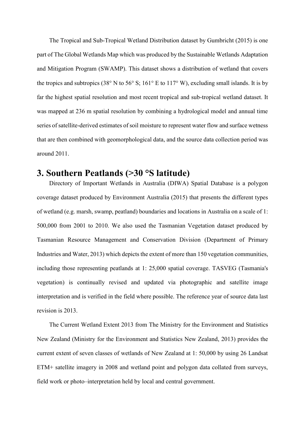The Tropical and Sub-Tropical Wetland Distribution dataset by Gumbricht (2015) is one part of The Global Wetlands Map which was produced by the Sustainable Wetlands Adaptation and Mitigation Program (SWAMP). This dataset shows a distribution of wetland that covers the tropics and subtropics (38° N to 56° S; 161° E to 117° W), excluding small islands. It is by far the highest spatial resolution and most recent tropical and sub-tropical wetland dataset. It was mapped at 236 m spatial resolution by combining a hydrological model and annual time series of satellite-derived estimates of soil moisture to represent water flow and surface wetness that are then combined with geomorphological data, and the source data collection period was around 2011.

## **3. Southern Peatlands (>30 °S latitude)**

Directory of Important Wetlands in Australia (DIWA) Spatial Database is a polygon coverage dataset produced by Environment Australia (2015) that presents the different types of wetland (e.g. marsh, swamp, peatland) boundaries and locations in Australia on a scale of 1: 500,000 from 2001 to 2010. We also used the Tasmanian Vegetation dataset produced by Tasmanian Resource Management and Conservation Division (Department of Primary Industries and Water, 2013) which depicts the extent of more than 150 vegetation communities, including those representing peatlands at 1: 25,000 spatial coverage. TASVEG (Tasmania's vegetation) is continually revised and updated via photographic and satellite image interpretation and is verified in the field where possible. The reference year of source data last revision is 2013.

The Current Wetland Extent 2013 from The Ministry for the Environment and Statistics New Zealand (Ministry for the Environment and Statistics New Zealand, 2013) provides the current extent of seven classes of wetlands of New Zealand at 1: 50,000 by using 26 Landsat ETM+ satellite imagery in 2008 and wetland point and polygon data collated from surveys, field work or photo–interpretation held by local and central government.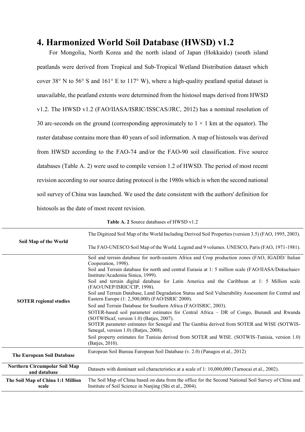## **4. Harmonized World Soil Database (HWSD) v1.2**

For Mongolia, North Korea and the north island of Japan (Hokkaido) (south island peatlands were derived from Tropical and Sub-Tropical Wetland Distribution dataset which cover 38° N to 56° S and 161° E to 117° W), where a high-quality peatland spatial dataset is unavailable, the peatland extents were determined from the histosol maps derived from HWSD v1.2. The HWSD v1.2 (FAO/IIASA/ISRIC/ISSCAS/JRC, 2012) has a nominal resolution of 30 arc-seconds on the ground (corresponding approximately to  $1 \times 1$  km at the equator). The raster database contains more than 40 years of soil information. A map of histosols was derived from HWSD according to the FAO-74 and/or the FAO-90 soil classification. Five source databases (Table A. 2) were used to compile version 1.2 of HWSD. The period of most recent revision according to our source dating protocol is the 1980s which is when the second national soil survey of China was launched. We used the date consistent with the authors' definition for histosols as the date of most recent revision.

| Table A. 2 Source databases of HWSD v1.2 |  |
|------------------------------------------|--|
|------------------------------------------|--|

|                                               | The Digitized Soil Map of the World Including Derived Soil Properties (version 3.5) (FAO, 1995, 2003).                                                                                                                                                                                                                                                                                                                                                                                                                                                                                                                                                                                                                                                                                                                                                                                                                                                                                                                                |
|-----------------------------------------------|---------------------------------------------------------------------------------------------------------------------------------------------------------------------------------------------------------------------------------------------------------------------------------------------------------------------------------------------------------------------------------------------------------------------------------------------------------------------------------------------------------------------------------------------------------------------------------------------------------------------------------------------------------------------------------------------------------------------------------------------------------------------------------------------------------------------------------------------------------------------------------------------------------------------------------------------------------------------------------------------------------------------------------------|
| Soil Map of the World                         | The FAO-UNESCO Soil Map of the World. Legend and 9 volumes. UNESCO, Paris (FAO, 1971-1981).                                                                                                                                                                                                                                                                                                                                                                                                                                                                                                                                                                                                                                                                                                                                                                                                                                                                                                                                           |
| <b>SOTER regional studies</b>                 | Soil and terrain database for north-eastern Africa and Crop production zones (FAO, IGADD/ Italian<br>Cooperation, 1998).<br>Soil and Terrain database for north and central Eurasia at 1: 5 million scale (FAO/IIASA/Dokuchaiev<br>Institute/Academia Sinica, 1999).<br>Soil and terrain digital database for Latin America and the Caribbean at 1: 5 Million scale<br>(FAO/UNEP/ISRIC/CIP, 1998).<br>Soil and Terrain Database, Land Degradation Status and Soil Vulnerability Assessment for Central and<br>Eastern Europe (1: 2,500,000) (FAO/ISRIC 2000).<br>Soil and Terrain Database for Southern Africa (FAO/ISRIC, 2003).<br>SOTER-based soil parameter estimates for Central Africa – DR of Congo, Burundi and Rwanda<br>(SOTWIScaf, version 1.0) (Batjes, 2007).<br>SOTER parameter estimates for Senegal and The Gambia derived from SOTER and WISE (SOTWIS-<br>Senegal, version 1.0) (Batjes, 2008).<br>Soil property estimates for Tunisia derived from SOTER and WISE. (SOTWIS-Tunisia, version 1.0)<br>(Batjes, 2010). |
| The European Soil Database                    | European Soil Bureau European Soil Database (v. 2.0) (Panagos et al., 2012)                                                                                                                                                                                                                                                                                                                                                                                                                                                                                                                                                                                                                                                                                                                                                                                                                                                                                                                                                           |
| Northern Circumpolar Soil Map<br>and database | Datasets with dominant soil characteristics at a scale of 1: 10,000,000 (Tarnocai et al., 2002).                                                                                                                                                                                                                                                                                                                                                                                                                                                                                                                                                                                                                                                                                                                                                                                                                                                                                                                                      |
| The Soil Map of China 1:1 Million<br>scale    | The Soil Map of China based on data from the office for the Second National Soil Survey of China and<br>Institute of Soil Science in Nanjing (Shi et al., 2004).                                                                                                                                                                                                                                                                                                                                                                                                                                                                                                                                                                                                                                                                                                                                                                                                                                                                      |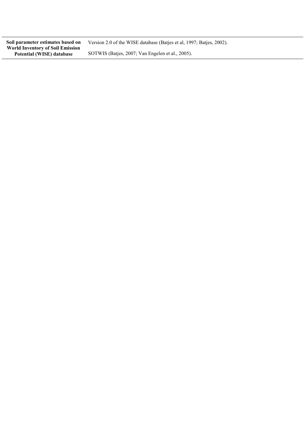**Soil parameter estimates based on World Inventory of Soil Emission Potential (WISE) database**

Version 2.0 of the WISE database (Batjes et al, 1997; Batjes, 2002). SOTWIS (Batjes, 2007; Van Engelen et al., 2005).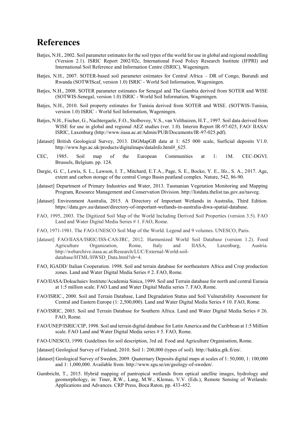# **References**

- Batjes, N.H., 2002. Soil parameter estimates for the soil types of the world for use in global and regional modelling (Version 2.1). ISRIC Report 2002/02c, International Food Policy Research Institute (IFPRI) and International Soil Reference and Information Centre (ISRIC), Wageningen.
- Batjes, N.H., 2007. SOTER-based soil parameter estimates for Central Africa DR of Congo, Burundi and Rwanda (SOTWIScaf, version 1.0) ISRIC - World Soil Information, Wageningen.
- Baties, N.H., 2008. SOTER parameter estimates for Senegal and The Gambia derived from SOTER and WISE (SOTWIS-Senegal, version 1.0) ISRIC - World Soil Information, Wageningen.
- Batjes, N.H., 2010. Soil property estimates for Tunisia derived from SOTER and WISE. (SOTWIS-Tunisia, version 1.0) ISRIC - World Soil Information, Wageningen.
- Batjes, N.H., Fischer, G., Nachtergaele, F.O., Stolbovoy, V.S., van Velthuizen, H.T., 1997. Soil data derived from WISE for use in global and regional AEZ studies (ver. 1.0). Interim Report IR-97-025, FAO/ IIASA/ ISRIC, Laxenburg (http://www.iiasa.ac.at/Admin/PUB/Documents/IR-97-025.pdf).
- [dataset] British Geological Survey, 2013. DiGMapGB data at 1: 625 000 scale, Surficial deposits V1.0. http://www.bgs.ac.uk/products/digitalmaps/dataInfo.html# 625.
- CEC, 1985. Soil map of the European Communities at 1: 1M. CEC-DGVI. Brussels, Belgium. pp. 124.
- Dargie, G. C., Lewis, S. L., Lawson, I. T., Mitchard, E.T.A., Page, S. E., Bocko, Y. E., Ifo., S. A., 2017. Age, extent and carbon storage of the central Congo Basin peatland complex. Nature, 542, 86-90.
- [dataset] Department of Primary Industries and Water, 2013. Tasmanian Vegetation Monitoring and Mapping Program, Resource Management and Conservation Division. http://listdata.thelist.tas.gov.au/tasveg.
- [dataset] Environment Australia, 2015. A Directory of Important Wetlands in Australia, Third Edition. https://data.gov.au/dataset/directory-of-important-wetlands-in-australia-diwa-spatial-database.
- FAO, 1995, 2003. The Digitized Soil Map of the World Including Derived Soil Properties (version 3.5). FAO Land and Water Digital Media Series # 1. FAO, Rome.
- FAO, 1971-1981. The FAO-UNESCO Soil Map of the World. Legend and 9 volumes. UNESCO, Paris.
- [dataset] FAO/IIASA/ISRIC/ISS-CAS/JRC, 2012. Harmonized World Soil Database (version 1.2). Food Agriculture Organization, Rome, Italy and IIASA, Laxenburg, Austria. http://webarchive.iiasa.ac.at/Research/LUC/External-World-soildatabase/HTML/HWSD\_Data.html?sb=4.
- FAO, IGADD/ Italian Cooperation. 1998. Soil and terrain database for northeastern Africa and Crop production zones. Land and Water Digital Media Series # 2. FAO, Rome.
- FAO/IIASA/Dokuchaiev Institute/Academia Sinica, 1999. Soil and Terrain database for north and central Eurasia at 1:5 million scale. FAO Land and Water Digital Media series 7. FAO, Rome.
- FAO/ISRIC., 2000. Soil and Terrain Database, Land Degradation Status and Soil Vulnerability Assessment for Central and Eastern Europe (1: 2,500,000). Land and Water Digital Media Series # 10. FAO, Rome.
- FAO/ISRIC, 2003. Soil and Terrain Database for Southern Africa. Land and Water Digital Media Series # 26. FAO, Rome.
- FAO/UNEP/ISRIC/CIP, 1998. Soil and terrain digital database for Latin America and the Caribbean at 1:5 Million scale. FAO Land and Water Digital Media series # 5. FAO, Rome.
- FAO-UNESCO, 1990. Guidelines for soil description, 3rd ed. Food and Agriculture Organisation, Rome.
- [dataset] Geological Survey of Finland, 2010. Soil 1: 200,000 (types of soil). http://hakku.gtk.fi/en/.
- [dataset] Geological Survey of Sweden, 2009. Quaternary Deposits digital maps at scales of 1: 50,000, 1: 100,000 and 1: 1,000,000. Available from: http://www.sgu.se/en/geology-of-sweden/.
- Gumbricht, T., 2015. Hybrid mapping of pantropical wetlands from optical satellite images, hydrology and geomorphology, in: Tiner, R.W., Lang, M.W., Klemas, V.V. (Eds.), Remote Sensing of Wetlands: Applications and Advances. CRP Press, Boca Raton, pp. 433-452.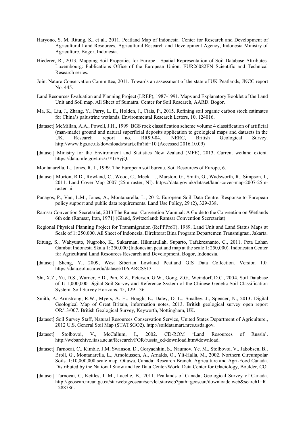- Haryono, S. M, Ritung, S., et al., 2011. Peatland Map of Indonesia. Center for Research and Development of Agricultural Land Resources, Agricultural Research and Development Agency, Indonesia Ministry of Agriculture. Bogor, Indonesia.
- Hiederer, R., 2013. Mapping Soil Properties for Europe Spatial Representation of Soil Database Attributes. Luxembourg: Publications Office of the European Union. EUR26082EN Scientific and Technical Research series.
- Joint Nature Conservation Committee, 2011. Towards an assessment of the state of UK Peatlands, JNCC report No. 445.
- Land Resources Evaluation and Planning Project (LREP), 1987-1991. Maps and Explanatory Booklet of the Land Unit and Soil map. All Sheet of Sumatra. Center for Soil Research, AARD. Bogor.
- Ma, K., Liu, J., Zhang, Y., Parry, L. E., Holden, J., Ciais, P., 2015. Refining soil organic carbon stock estimates for China's palustrine wetlands. Environmental Research Letters, 10, 124016.
- [dataset] McMillan, A.A., Powell, J.H., 1999. BGS rock classification scheme volume 4 classification of artificial (man-made) ground and natural superficial deposits application to geological maps and datasets in the UK. Research report no. RR99-04, NERC, British Geological Survey. http://www.bgs.ac.uk/downloads/start.cfm?id=10 (Accessed 2016.10.09)
- [dataset] Ministry for the Environment and Statistics New Zealand (MFE), 2013. Current wetland extent. https://data.mfe.govt.nz/x/YGSyjQ.
- Montanarella, L., Jones, R. J., 1999. The European soil bureau. Soil Resources of Europe, 6.
- [dataset] Morton, R.D., Rowland, C., Wood, C., Meek, L., Marston, G., Smith, G., Wadsworth, R., Simpson, I., 2011. Land Cover Map 2007 (25m raster, NI). https://data.gov.uk/dataset/land-cover-map-2007-25mraster-ni.
- Panagos, P., Van, L.M., Jones, A., Montanarella, L., 2012. European Soil Data Centre: Response to European policy support and public data requirements. Land Use Policy, 29 (2), 329-338.
- Ramsar Convention Secretariat, 2013 The Ramsar Convention Mannual: A Guide to the Convention on Wetlands 6th edn (Ramsar, Iran, 1971) (Gland, Switzerland: Ramsar Convention Secretariat).
- Regional Physical Planning Project for Transmigration (RePPProT), 1989. Land Unit and Land Status Maps at Scale of 1: 250.000. All Sheet of Indonesia. Direktorat Bina Program Departemen Transmigrasi, Jakarta.
- Ritung, S., Wahyunto, Nugroho, K., Sukarman, Hikmatullah, Suparto, Tafakresnanto, C., 2011. Peta Lahan Gambut Indonesia Skala 1: 250,000 (Indonesian peatland map at the scale 1: 250,000). Indonesian Center for Agricultural Land Resources Research and Development, Bogor, Indonesia.
- [dataset] Sheng, Y., 2009, West Siberian Lowland Peatland GIS Data Collection. Version 1.0. https://data.eol.ucar.edu/dataset/106.ARCSS131.
- Shi, X.Z., Yu, D.S., Warner, E.D., Pan, X.Z., Petersen, G.W., Gong, Z.G., Weindorf, D.C., 2004. Soil Database of 1: 1,000,000 Digital Soil Survey and Reference System of the Chinese Genetic Soil Classification System. Soil Survey Horizons. 45, 129-136.
- Smith, A. Armstrong, R.W., Myers, A. H., Hough, E., Daley, D. L., Smalley, J., Spencer, N., 2013. Digital Geological Map of Great Britain, information notes, 2013. British geological survey open report OR/13/007. British Geological Survey, Keyworth, Nottingham, UK.
- [dataset] Soil Survey Staff, Natural Resources Conservation Service, United States Department of Agriculture., 2012 U.S. General Soil Map (STATSGO2). http://soildatamart.nrcs.usda.gov.
- [dataset] Stolbovoi, V., McCallum, I., 2002. CD-ROM 'Land Resources of Russia'. http://webarchive.iiasa.ac.at/Research/FOR/russia\_cd/download.htm#download.
- [dataset] Tarnocai, C., Kimble, J.M, Swanson, D., Goryachkin, S., Naumov, Ye. M., Stolbovoi, V., Jakobsen, B., Broll, G., Montanarella, L., Arnoldussen, A., Arnalds, O., Yli-Halla, M., 2002. Northern Circumpolar Soils. 1:10,000,000 scale map. Ottawa, Canada: Research Branch, Agriculture and Agri-Food Canada. Distributed by the National Snow and Ice Data Center/World Data Center for Glaciology, Boulder, CO.
- [dataset] Tarnocai, C, Kettles, I. M., Lacelle, B., 2011. Peatlands of Canada, Geological Survey of Canada. http://geoscan.nrcan.gc.ca/starweb/geoscan/servlet.starweb?path=geoscan/downloade.web&search1=R =288786.